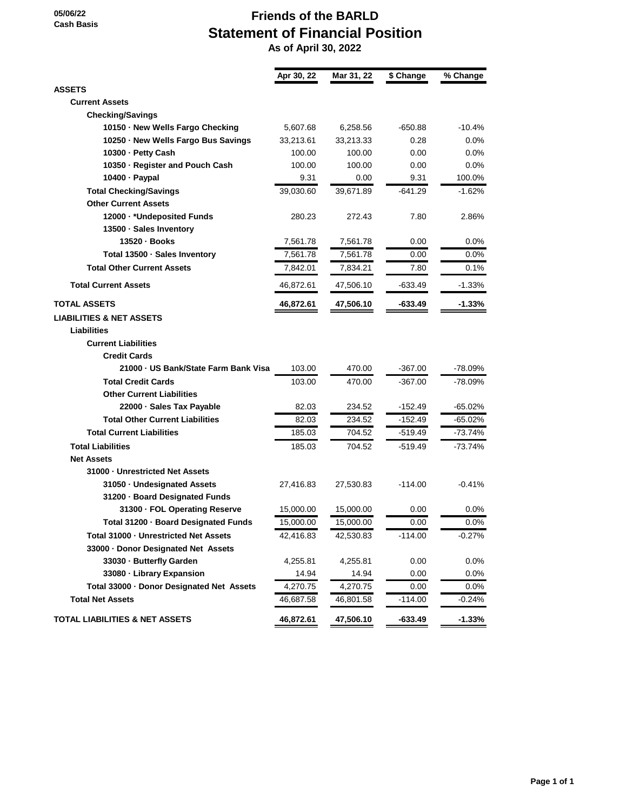**05/06/22 Cash Basis**

## **Friends of the BARLD Statement of Financial Position**

 **As of April 30, 2022**

|                                           | Apr 30, 22 | Mar 31, 22 | \$ Change | % Change  |
|-------------------------------------------|------------|------------|-----------|-----------|
| <b>ASSETS</b>                             |            |            |           |           |
| <b>Current Assets</b>                     |            |            |           |           |
| <b>Checking/Savings</b>                   |            |            |           |           |
| 10150 · New Wells Fargo Checking          | 5,607.68   | 6,258.56   | -650.88   | $-10.4%$  |
| 10250 · New Wells Fargo Bus Savings       | 33,213.61  | 33,213.33  | 0.28      | $0.0\%$   |
| 10300 - Petty Cash                        | 100.00     | 100.00     | 0.00      | $0.0\%$   |
| 10350 · Register and Pouch Cash           | 100.00     | 100.00     | 0.00      | $0.0\%$   |
| 10400 · Paypal                            | 9.31       | 0.00       | 9.31      | 100.0%    |
| <b>Total Checking/Savings</b>             | 39,030.60  | 39,671.89  | $-641.29$ | $-1.62%$  |
| <b>Other Current Assets</b>               |            |            |           |           |
| 12000 · * Undeposited Funds               | 280.23     | 272.43     | 7.80      | 2.86%     |
| 13500 · Sales Inventory                   |            |            |           |           |
| 13520 · Books                             | 7,561.78   | 7,561.78   | 0.00      | $0.0\%$   |
| Total 13500 · Sales Inventory             | 7,561.78   | 7,561.78   | 0.00      | $0.0\%$   |
| <b>Total Other Current Assets</b>         | 7,842.01   | 7,834.21   | 7.80      | 0.1%      |
| <b>Total Current Assets</b>               | 46,872.61  | 47,506.10  | $-633.49$ | $-1.33%$  |
| <b>TOTAL ASSETS</b>                       | 46,872.61  | 47,506.10  | -633.49   | $-1.33%$  |
| <b>LIABILITIES &amp; NET ASSETS</b>       |            |            |           |           |
| Liabilities                               |            |            |           |           |
| <b>Current Liabilities</b>                |            |            |           |           |
| <b>Credit Cards</b>                       |            |            |           |           |
| 21000 - US Bank/State Farm Bank Visa      | 103.00     | 470.00     | $-367.00$ | -78.09%   |
| <b>Total Credit Cards</b>                 | 103.00     | 470.00     | $-367.00$ | $-78.09%$ |
| <b>Other Current Liabilities</b>          |            |            |           |           |
| 22000 · Sales Tax Payable                 | 82.03      | 234.52     | $-152.49$ | $-65.02%$ |
| <b>Total Other Current Liabilities</b>    | 82.03      | 234.52     | -152.49   | -65.02%   |
| <b>Total Current Liabilities</b>          | 185.03     | 704.52     | $-519.49$ | $-73.74%$ |
| <b>Total Liabilities</b>                  | 185.03     | 704.52     | -519.49   | -73.74%   |
| <b>Net Assets</b>                         |            |            |           |           |
| 31000 - Unrestricted Net Assets           |            |            |           |           |
| 31050 - Undesignated Assets               | 27,416.83  | 27,530.83  | $-114.00$ | $-0.41%$  |
| 31200 · Board Designated Funds            |            |            |           |           |
| 31300 · FOL Operating Reserve             | 15,000.00  | 15,000.00  | 0.00      | 0.0%      |
| Total 31200 - Board Designated Funds      | 15,000.00  | 15,000.00  | 0.00      | $0.0\%$   |
| Total 31000 - Unrestricted Net Assets     | 42,416.83  | 42,530.83  | $-114.00$ | $-0.27%$  |
| 33000 - Donor Designated Net Assets       |            |            |           |           |
| 33030 - Butterfly Garden                  | 4,255.81   | 4,255.81   | 0.00      | 0.0%      |
| 33080 · Library Expansion                 | 14.94      | 14.94      | 0.00      | 0.0%      |
| Total 33000 - Donor Designated Net Assets | 4,270.75   | 4,270.75   | 0.00      | 0.0%      |
| <b>Total Net Assets</b>                   | 46,687.58  | 46,801.58  | $-114.00$ | $-0.24%$  |
| <b>TOTAL LIABILITIES &amp; NET ASSETS</b> | 46,872.61  | 47,506.10  | $-633.49$ | $-1.33%$  |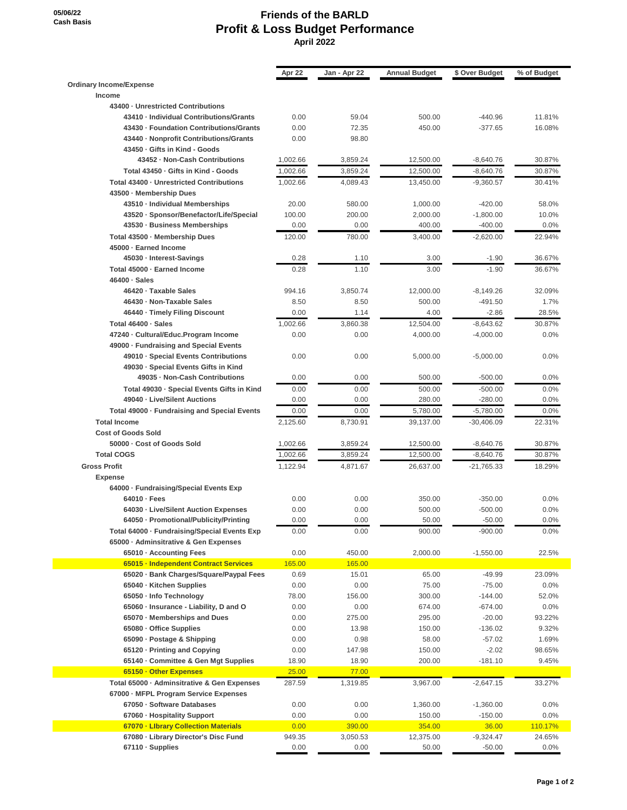**05/06/22 Cash Basis**

## **Friends of the BARLD Profit & Loss Budget Performance April 2022**

|                                                                            | Apr 22   | Jan - Apr 22 | <b>Annual Budget</b> | \$ Over Budget | % of Budget |
|----------------------------------------------------------------------------|----------|--------------|----------------------|----------------|-------------|
| <b>Ordinary Income/Expense</b>                                             |          |              |                      |                |             |
| Income                                                                     |          |              |                      |                |             |
| 43400 - Unrestricted Contributions                                         |          |              |                      |                |             |
| 43410 - Individual Contributions/Grants                                    | 0.00     | 59.04        | 500.00               | $-440.96$      | 11.81%      |
| 43430 - Foundation Contributions/Grants                                    | 0.00     | 72.35        | 450.00               | $-377.65$      | 16.08%      |
| 43440 - Nonprofit Contributions/Grants                                     | 0.00     | 98.80        |                      |                |             |
| 43450 Gifts in Kind - Goods                                                |          |              |                      |                |             |
| 43452 - Non-Cash Contributions                                             | 1,002.66 | 3,859.24     | 12,500.00            | $-8,640.76$    | 30.87%      |
| Total 43450 - Gifts in Kind - Goods                                        | 1,002.66 | 3,859.24     | 12,500.00            | $-8,640.76$    | 30.87%      |
| Total 43400 - Unrestricted Contributions                                   | 1.002.66 | 4,089.43     | 13,450.00            | $-9,360.57$    | 30.41%      |
| 43500 · Membership Dues                                                    |          |              |                      |                |             |
| 43510 - Individual Memberships                                             | 20.00    | 580.00       | 1,000.00             | $-420.00$      | 58.0%       |
| 43520 · Sponsor/Benefactor/Life/Special                                    | 100.00   | 200.00       | 2,000.00             | $-1,800.00$    | 10.0%       |
| 43530 · Business Memberships                                               | 0.00     | 0.00         | 400.00               | $-400.00$      | 0.0%        |
| Total 43500 · Membership Dues                                              | 120.00   | 780.00       | 3,400.00             | $-2,620.00$    | 22.94%      |
| 45000 · Earned Income                                                      |          |              |                      |                |             |
| 45030 - Interest-Savings                                                   | 0.28     | 1.10         | 3.00                 | $-1.90$        | 36.67%      |
| Total 45000 - Earned Income                                                | 0.28     | 1.10         | 3.00                 | $-1.90$        | 36.67%      |
| 46400 · Sales                                                              |          |              |                      |                |             |
| 46420 - Taxable Sales                                                      | 994.16   | 3,850.74     | 12,000.00            | $-8,149.26$    | 32.09%      |
| 46430 - Non-Taxable Sales                                                  | 8.50     | 8.50         | 500.00               | $-491.50$      | 1.7%        |
| 46440 · Timely Filing Discount                                             | 0.00     | 1.14         | 4.00                 | $-2.86$        | 28.5%       |
| Total 46400 · Sales                                                        | 1,002.66 | 3,860.38     | 12,504.00            | $-8,643.62$    | 30.87%      |
| 47240 - Cultural/Educ.Program Income                                       | 0.00     | 0.00         | 4,000.00             | $-4,000.00$    | 0.0%        |
| 49000 · Fundraising and Special Events                                     |          |              |                      |                |             |
| 49010 · Special Events Contributions                                       | 0.00     | 0.00         | 5,000.00             | $-5,000.00$    | 0.0%        |
| 49030 · Special Events Gifts in Kind                                       |          |              |                      |                |             |
| 49035 - Non-Cash Contributions                                             | 0.00     | 0.00         | 500.00               | $-500.00$      | 0.0%        |
|                                                                            | 0.00     | 0.00         | 500.00               |                | 0.0%        |
| Total 49030 - Special Events Gifts in Kind<br>49040 - Live/Silent Auctions |          |              |                      | $-500.00$      |             |
|                                                                            | 0.00     | 0.00         | 280.00               | $-280.00$      | 0.0%        |
| Total 49000 · Fundraising and Special Events                               | 0.00     | 0.00         | 5,780.00             | $-5,780.00$    | 0.0%        |
| <b>Total Income</b>                                                        | 2,125.60 | 8,730.91     | 39,137.00            | $-30,406.09$   | 22.31%      |
| <b>Cost of Goods Sold</b>                                                  |          |              |                      |                |             |
| 50000 - Cost of Goods Sold                                                 | 1,002.66 | 3,859.24     | 12,500.00            | $-8,640.76$    | 30.87%      |
| <b>Total COGS</b>                                                          | 1,002.66 | 3,859.24     | 12,500.00            | $-8,640.76$    | 30.87%      |
| <b>Gross Profit</b>                                                        | 1,122.94 | 4,871.67     | 26.637.00            | $-21,765.33$   | 18.29%      |
| <b>Expense</b>                                                             |          |              |                      |                |             |
| 64000 · Fundraising/Special Events Exp                                     |          |              |                      |                |             |
| $64010 - Fees$                                                             | 0.00     | 0.00         | 350.00               | $-350.00$      | 0.0%        |
| 64030 - Live/Silent Auction Expenses                                       | 0.00     | 0.00         | 500.00               | $-500.00$      | 0.0%        |
| 64050 - Promotional/Publicity/Printing                                     | 0.00     | 0.00         | 50.00                | $-50.00$       | 0.0%        |
| Total 64000 - Fundraising/Special Events Exp                               | 0.00     | 0.00         | 900.00               | $-900.00$      | 0.0%        |
| 65000 · Adminsitrative & Gen Expenses                                      |          |              |                      |                |             |
| 65010 · Accounting Fees                                                    | 0.00     | 450.00       | 2,000.00             | $-1,550.00$    | 22.5%       |
| 65015 - Independent Contract Services                                      | 165.00   | 165.00       |                      |                |             |
| 65020 · Bank Charges/Square/Paypal Fees                                    | 0.69     | 15.01        | 65.00                | $-49.99$       | 23.09%      |
| 65040 - Kitchen Supplies                                                   | 0.00     | 0.00         | 75.00                | $-75.00$       | 0.0%        |
| 65050 - Info Technology                                                    | 78.00    | 156.00       | 300.00               | $-144.00$      | 52.0%       |
| 65060 · Insurance - Liability, D and O                                     | 0.00     | 0.00         | 674.00               | $-674.00$      | 0.0%        |
| 65070 - Memberships and Dues                                               | 0.00     | 275.00       | 295.00               | $-20.00$       | 93.22%      |
| 65080 - Office Supplies                                                    | 0.00     | 13.98        | 150.00               | $-136.02$      | 9.32%       |
| 65090 · Postage & Shipping                                                 | 0.00     | 0.98         | 58.00                | $-57.02$       | 1.69%       |
| 65120 - Printing and Copying                                               | 0.00     | 147.98       | 150.00               | $-2.02$        |             |
|                                                                            |          |              |                      |                | 98.65%      |
| 65140 Committee & Gen Mgt Supplies                                         | 18.90    | 18.90        | 200.00               | $-181.10$      | 9.45%       |
| 65150 • Other Expenses                                                     | 25.00    | 77.00        |                      |                |             |
| Total 65000 · Adminsitrative & Gen Expenses                                | 287.59   | 1,319.85     | 3,967.00             | $-2,647.15$    | 33.27%      |
| 67000 · MFPL Program Service Expenses                                      |          |              |                      |                |             |
| 67050 · Software Databases                                                 | 0.00     | 0.00         | 1,360.00             | $-1,360.00$    | 0.0%        |
| 67060 - Hospitality Support                                                | 0.00     | 0.00         | 150.00               | $-150.00$      | 0.0%        |
| 67070 - Library Collection Materials                                       | 0.00     | 390.00       | 354.00               | 36.00          | 110.17%     |
| 67080 - Library Director's Disc Fund                                       | 949.35   | 3,050.53     | 12,375.00            | $-9,324.47$    | 24.65%      |
| 67110 · Supplies                                                           | 0.00     | 0.00         | 50.00                | -50.00         | 0.0%        |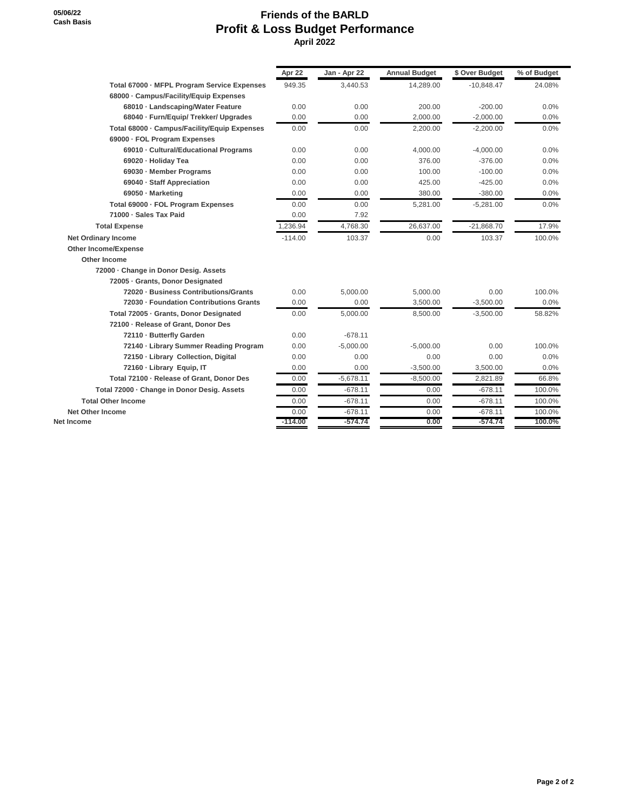## **Friends of the BARLD Profit & Loss Budget Performance April 2022**

|                                              | Apr 22    | Jan - Apr 22 | <b>Annual Budget</b> | \$ Over Budget | % of Budget |
|----------------------------------------------|-----------|--------------|----------------------|----------------|-------------|
| Total 67000 - MFPL Program Service Expenses  | 949.35    | 3,440.53     | 14.289.00            | $-10.848.47$   | 24.08%      |
| 68000 - Campus/Facility/Equip Expenses       |           |              |                      |                |             |
| 68010 - Landscaping/Water Feature            | 0.00      | 0.00         | 200.00               | $-200.00$      | 0.0%        |
| 68040 · Furn/Equip/ Trekker/ Upgrades        | 0.00      | 0.00         | 2,000.00             | $-2,000.00$    | 0.0%        |
| Total 68000 - Campus/Facility/Equip Expenses | 0.00      | 0.00         | 2,200.00             | $-2,200.00$    | 0.0%        |
| 69000 · FOL Program Expenses                 |           |              |                      |                |             |
| 69010 - Cultural/Educational Programs        | 0.00      | 0.00         | 4,000.00             | $-4,000.00$    | 0.0%        |
| 69020 - Holiday Tea                          | 0.00      | 0.00         | 376.00               | $-376.00$      | 0.0%        |
| 69030 - Member Programs                      | 0.00      | 0.00         | 100.00               | $-100.00$      | 0.0%        |
| 69040 - Staff Appreciation                   | 0.00      | 0.00         | 425.00               | $-425.00$      | 0.0%        |
| 69050 - Marketing                            | 0.00      | 0.00         | 380.00               | $-380.00$      | 0.0%        |
| Total 69000 - FOL Program Expenses           | 0.00      | 0.00         | 5,281.00             | $-5,281.00$    | 0.0%        |
| 71000 · Sales Tax Paid                       | 0.00      | 7.92         |                      |                |             |
| <b>Total Expense</b>                         | 1,236.94  | 4.768.30     | 26,637.00            | $-21,868.70$   | 17.9%       |
| <b>Net Ordinary Income</b>                   | $-114.00$ | 103.37       | 0.00                 | 103.37         | 100.0%      |
| <b>Other Income/Expense</b>                  |           |              |                      |                |             |
| Other Income                                 |           |              |                      |                |             |
| 72000 - Change in Donor Desig. Assets        |           |              |                      |                |             |
| 72005 - Grants, Donor Designated             |           |              |                      |                |             |
| 72020 - Business Contributions/Grants        | 0.00      | 5,000.00     | 5.000.00             | 0.00           | 100.0%      |
| 72030 - Foundation Contributions Grants      | 0.00      | 0.00         | 3,500.00             | $-3,500.00$    | 0.0%        |
| Total 72005 - Grants, Donor Designated       | 0.00      | 5,000.00     | 8,500.00             | $-3,500.00$    | 58.82%      |
| 72100 - Release of Grant, Donor Des          |           |              |                      |                |             |
| 72110 - Butterfly Garden                     | 0.00      | $-678.11$    |                      |                |             |
| 72140 - Library Summer Reading Program       | 0.00      | $-5,000.00$  | $-5,000.00$          | 0.00           | 100.0%      |
| 72150 - Library Collection, Digital          | 0.00      | 0.00         | 0.00                 | 0.00           | 0.0%        |
| 72160 - Library Equip, IT                    | 0.00      | 0.00         | $-3,500.00$          | 3,500.00       | 0.0%        |
| Total 72100 - Release of Grant, Donor Des    | 0.00      | $-5,678.11$  | $-8,500.00$          | 2,821.89       | 66.8%       |
| Total 72000 - Change in Donor Desig. Assets  | 0.00      | $-678.11$    | 0.00                 | $-678.11$      | 100.0%      |
| <b>Total Other Income</b>                    | 0.00      | $-678.11$    | 0.00                 | $-678.11$      | 100.0%      |
| <b>Net Other Income</b>                      | 0.00      | $-678.11$    | 0.00                 | $-678.11$      | 100.0%      |
| Net Income                                   | $-114.00$ | $-574.74$    | 0.00                 | $-574.74$      | 100.0%      |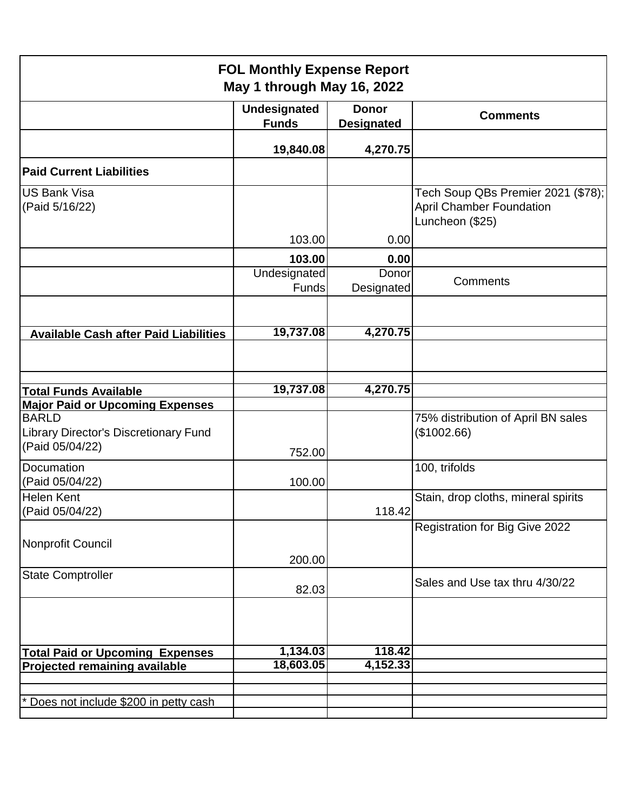| <b>FOL Monthly Expense Report</b><br>May 1 through May 16, 2022          |                                     |                                   |                                                                                          |  |  |
|--------------------------------------------------------------------------|-------------------------------------|-----------------------------------|------------------------------------------------------------------------------------------|--|--|
|                                                                          | <b>Undesignated</b><br><b>Funds</b> | <b>Donor</b><br><b>Designated</b> | <b>Comments</b>                                                                          |  |  |
|                                                                          | 19,840.08                           | 4,270.75                          |                                                                                          |  |  |
| <b>Paid Current Liabilities</b>                                          |                                     |                                   |                                                                                          |  |  |
| US Bank Visa<br>(Paid 5/16/22)                                           |                                     |                                   | Tech Soup QBs Premier 2021 (\$78);<br><b>April Chamber Foundation</b><br>Luncheon (\$25) |  |  |
|                                                                          | 103.00<br>103.00                    | 0.00<br>0.00                      |                                                                                          |  |  |
|                                                                          | Undesignated<br>Funds               | Donor<br>Designated               | Comments                                                                                 |  |  |
|                                                                          |                                     |                                   |                                                                                          |  |  |
| <b>Available Cash after Paid Liabilities</b>                             | 19,737.08                           | 4,270.75                          |                                                                                          |  |  |
|                                                                          |                                     |                                   |                                                                                          |  |  |
| <b>Total Funds Available</b>                                             | 19,737.08                           | 4,270.75                          |                                                                                          |  |  |
| <b>Major Paid or Upcoming Expenses</b>                                   |                                     |                                   |                                                                                          |  |  |
| <b>BARLD</b><br>Library Director's Discretionary Fund<br>(Paid 05/04/22) | 752.00                              |                                   | 75% distribution of April BN sales<br>(\$1002.66)                                        |  |  |
| Documation<br>(Paid 05/04/22)                                            | 100.00                              |                                   | 100, trifolds                                                                            |  |  |
| <b>Helen Kent</b><br>(Paid 05/04/22)                                     |                                     | 118.42                            | Stain, drop cloths, mineral spirits                                                      |  |  |
| Nonprofit Council                                                        | 200.00                              |                                   | Registration for Big Give 2022                                                           |  |  |
| <b>State Comptroller</b>                                                 | 82.03                               |                                   | Sales and Use tax thru 4/30/22                                                           |  |  |
|                                                                          |                                     |                                   |                                                                                          |  |  |
| <b>Total Paid or Upcoming Expenses</b>                                   | 1,134.03                            | 118.42                            |                                                                                          |  |  |
| <b>Projected remaining available</b>                                     | 18,603.05                           | 4,152.33                          |                                                                                          |  |  |
|                                                                          |                                     |                                   |                                                                                          |  |  |
| Does not include \$200 in petty cash                                     |                                     |                                   |                                                                                          |  |  |